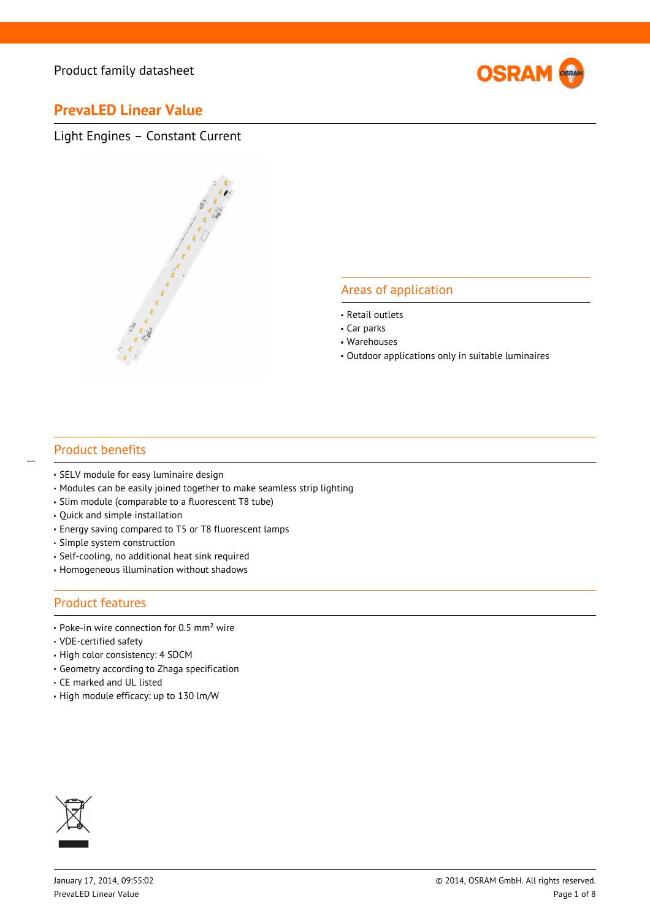

## **PrevaLED Linear Value**

Light Engines – Constant Current



#### Areas of application

- Retail outlets
- Car parks
- Warehouses
- Outdoor applications only in suitable luminaires

#### Product benefits

 $\overline{a}$ 

- SELV module for easy luminaire design
- Modules can be easily joined together to make seamless strip lighting
- Slim module (comparable to a fluorescent T8 tube)
- Quick and simple installation
- Energy saving compared to T5 or T8 fluorescent lamps
- Simple system construction
- Self-cooling, no additional heat sink required
- Homogeneous illumination without shadows

#### Product features

- Poke-in wire connection for 0.5 mm<sup>2</sup> wire
- VDE-certified safety
- High color consistency: 4 SDCM
- Geometry according to Zhaga specification
- CE marked and UL listed
- $\cdot$  High module efficacy: up to 130 lm/W

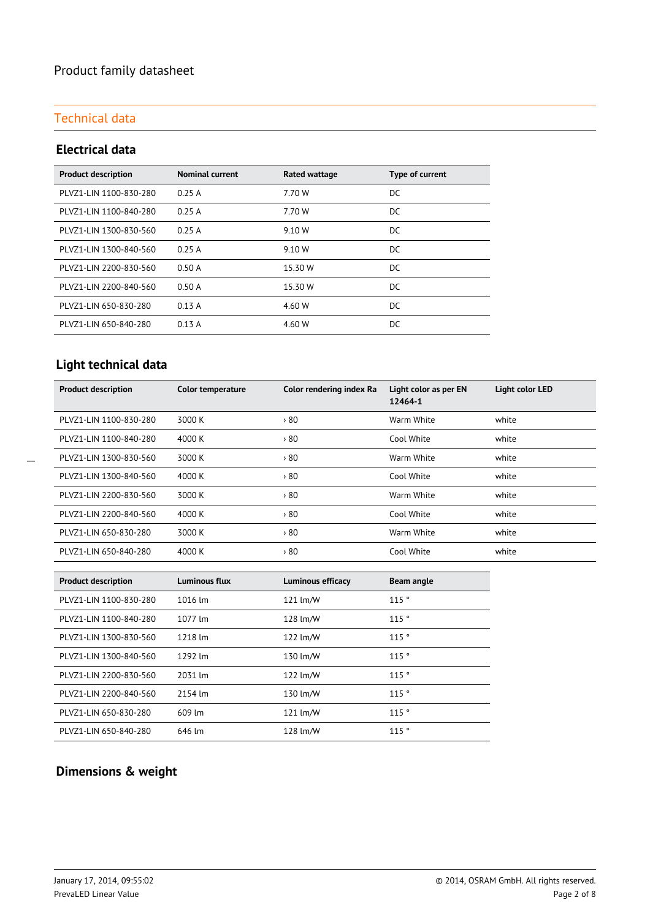### Technical data

#### **Electrical data**

| <b>Product description</b> | <b>Nominal current</b> | Rated wattage | Type of current |
|----------------------------|------------------------|---------------|-----------------|
| PLVZ1-LIN 1100-830-280     | 0.25A                  | 7.70 W        | DC              |
| PLVZ1-LIN 1100-840-280     | 0.25A                  | 7.70 W        | DC              |
| PLVZ1-LIN 1300-830-560     | 0.25A                  | 9.10 W        | DC              |
| PLVZ1-LIN 1300-840-560     | 0.25A                  | 9.10 W        | DC              |
| PLVZ1-LIN 2200-830-560     | 0.50A                  | 15.30 W       | DC              |
| PLVZ1-LIN 2200-840-560     | 0.50A                  | 15.30 W       | DC              |
| PLVZ1-LIN 650-830-280      | 0.13A                  | 4.60 W        | DC.             |
| PLVZ1-LIN 650-840-280      | 0.13A                  | 4.60 W        | DC              |

## **Light technical data**

| <b>Product description</b> | Color temperature | Color rendering index Ra | Light color as per EN<br>12464-1 | <b>Light color LED</b> |
|----------------------------|-------------------|--------------------------|----------------------------------|------------------------|
| PLVZ1-LIN 1100-830-280     | 3000 K            | $80^\circ$               | Warm White                       | white                  |
| PLVZ1-LIN 1100-840-280     | 4000 K            | 80                       | Cool White                       | white                  |
| PLVZ1-LIN 1300-830-560     | 3000 K            | 80                       | Warm White                       | white                  |
| PLVZ1-LIN 1300-840-560     | 4000 K            | $80^\circ$               | Cool White                       | white                  |
| PLVZ1-LIN 2200-830-560     | 3000 K            | $80^\circ$               | Warm White                       | white                  |
| PLVZ1-LIN 2200-840-560     | 4000 K            | $80^\circ$               | Cool White                       | white                  |
| PLVZ1-LIN 650-830-280      | 3000 K            | $80^\circ$               | Warm White                       | white                  |
| PLVZ1-LIN 650-840-280      | 4000 K            | 80                       | Cool White                       | white                  |

| <b>Product description</b> | Luminous flux     | <b>Luminous efficacy</b> | Beam angle |
|----------------------------|-------------------|--------------------------|------------|
| PLVZ1-LIN 1100-830-280     | $1016 \text{ Im}$ | 121 $\text{Im}/\text{W}$ | 115°       |
| PLVZ1-LIN 1100-840-280     | 1077 lm           | 128 lm/W                 | 115°       |
| PLVZ1-LIN 1300-830-560     | 1218 lm           | 122 $\text{Im}/\text{W}$ | 115°       |
| PLVZ1-LIN 1300-840-560     | 1292 lm           | 130 lm/W                 | 115°       |
| PLVZ1-LIN 2200-830-560     | 2031 lm           | 122 $\text{Im}/\text{W}$ | 115°       |
| PLVZ1-LIN 2200-840-560     | 2154 lm           | 130 lm/W                 | 115°       |
| PLVZ1-LIN 650-830-280      | 609 lm            | 121 lm/W                 | 115°       |
| PLVZ1-LIN 650-840-280      | 646 lm            | 128 lm/W                 | 115°       |

## **Dimensions & weight**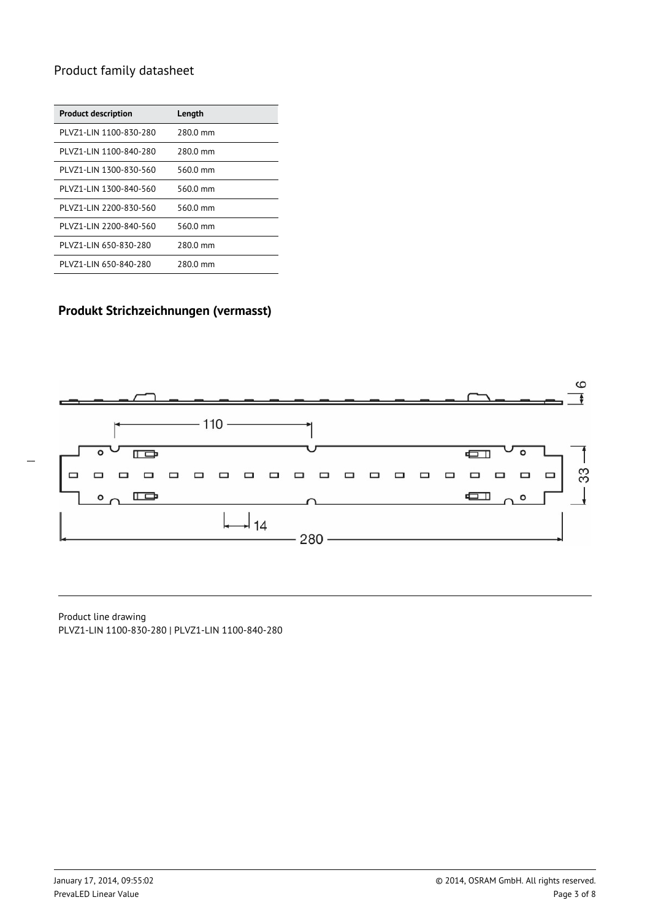| <b>Product description</b> | Length   |
|----------------------------|----------|
| PLVZ1-LIN 1100-830-280     | 2800 mm  |
| PLVZ1-LIN 1100-840-280     | 280.0 mm |
| PLVZ1-LIN 1300-830-560     | 560.0 mm |
| PLVZ1-LIN 1300-840-560     | 560.0 mm |
| PLVZ1-LIN 2200-830-560     | 560.0 mm |
| PLVZ1-LIN 2200-840-560     | 560.0 mm |
| PLVZ1-LIN 650-830-280      | 280.0 mm |
| PLVZ1-LIN 650-840-280      | 280.0 mm |

## **Produkt Strichzeichnungen (vermasst)**



Product line drawing PLVZ1-LIN 1100-830-280 | PLVZ1-LIN 1100-840-280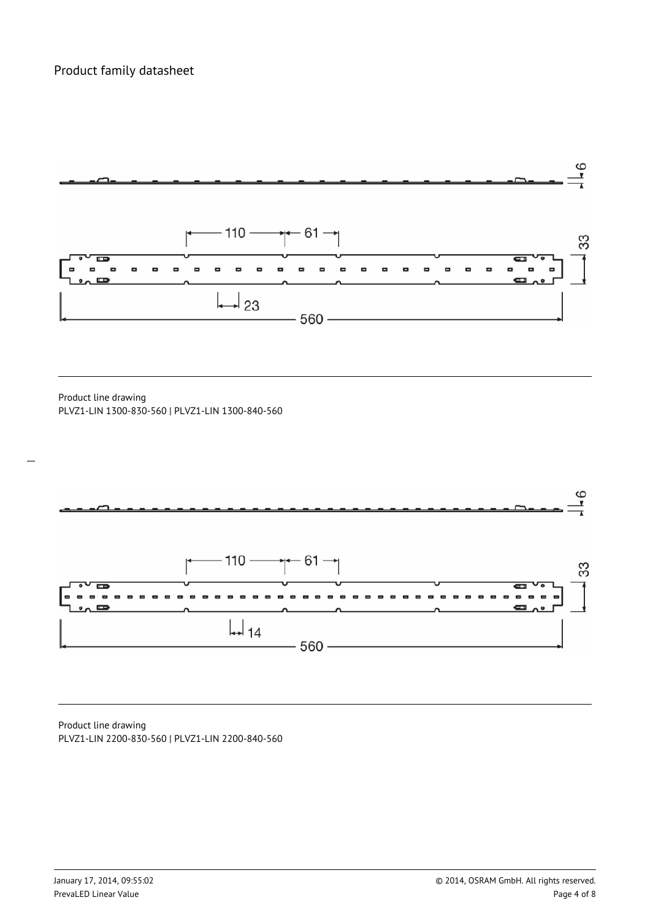

Product line drawing PLVZ1-LIN 1300-830-560 | PLVZ1-LIN 1300-840-560

 $\overline{a}$ 



Product line drawing PLVZ1-LIN 2200-830-560 | PLVZ1-LIN 2200-840-560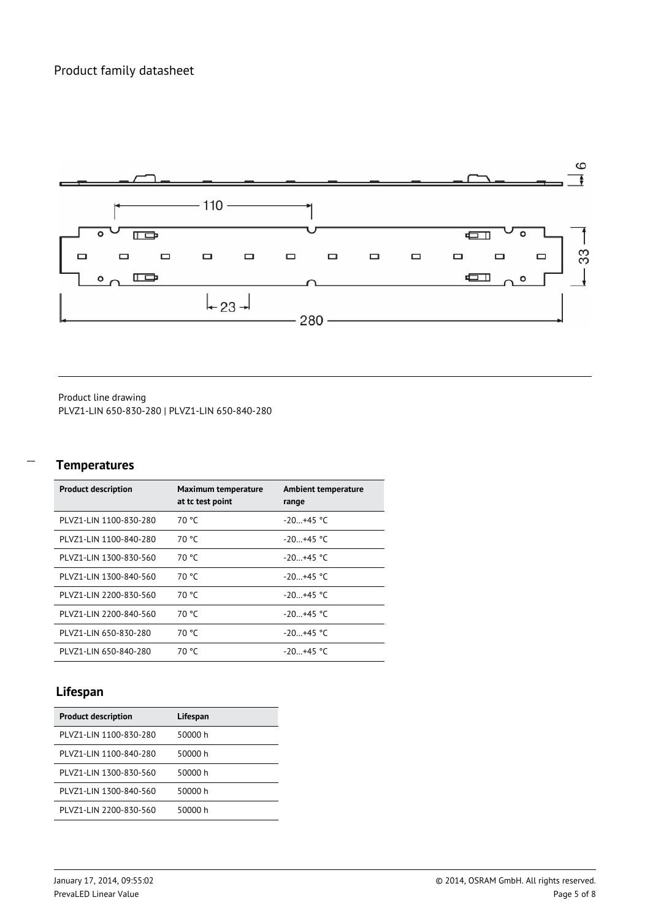

Product line drawing PLVZ1-LIN 650-830-280 | PLVZ1-LIN 650-840-280

# $\overline{a}$

### **Temperatures**

| <b>Product description</b> | Maximum temperature<br>at tc test point | Ambient temperature<br>range |
|----------------------------|-----------------------------------------|------------------------------|
| PLVZ1-LIN 1100-830-280     | 70 °C                                   | $-20+45$ °C                  |
| PLVZ1-LIN 1100-840-280     | 70 °C                                   | $-20+45$ °C                  |
| PLVZ1-LIN 1300-830-560     | 70 °C                                   | $-20+45$ °C                  |
| PLVZ1-LIN 1300-840-560     | 70 °C                                   | $-20+45$ °C                  |
| PLVZ1-LIN 2200-830-560     | 70 °C                                   | $-20+45$ °C                  |
| PLVZ1-LIN 2200-840-560     | 70 °C                                   | $-20+45$ °C                  |
| PLVZ1-LIN 650-830-280      | 70 °C                                   | $-20+45$ °C                  |
| PLVZ1-LIN 650-840-280      | 70 °C                                   | $-20+45$ °C                  |

## **Lifespan**

| <b>Product description</b> | Lifespan |
|----------------------------|----------|
|                            |          |
| PLVZ1-LIN 1100-830-280     | 50000 h  |
| PLVZ1-LIN 1100-840-280     | 50000 h  |
| PLVZ1-LIN 1300-830-560     | 50000 h  |
| PLVZ1-LIN 1300-840-560     | 50000 h  |
| PLVZ1-LIN 2200-830-560     | 50000 h  |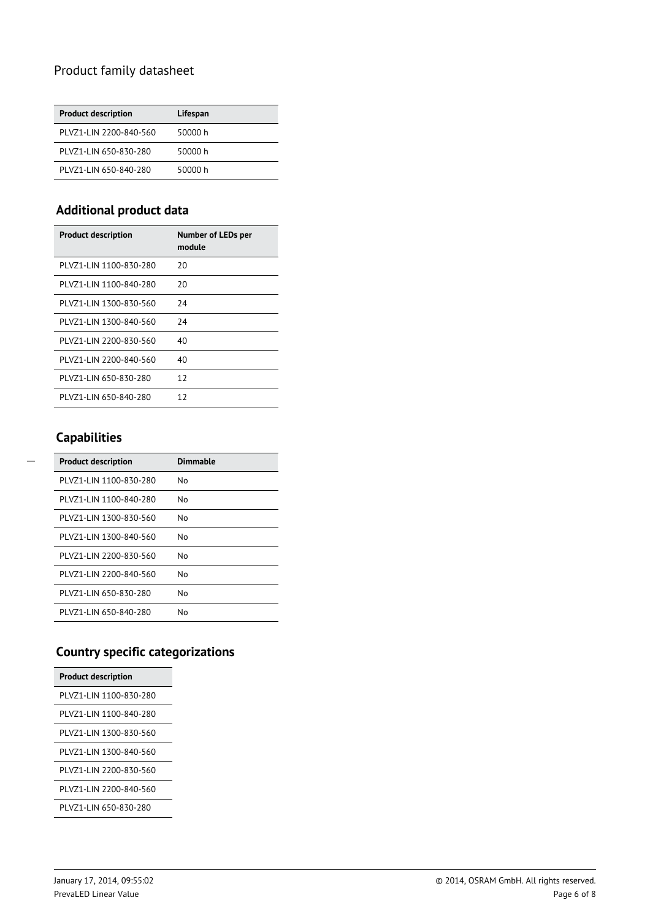| <b>Product description</b> | Lifespan |
|----------------------------|----------|
| PLVZ1-LIN 2200-840-560     | 50000 h  |
| PLVZ1-LIN 650-830-280      | 50000 h  |
| PLVZ1-LIN 650-840-280      | 50000 h  |

### **Additional product data**

| <b>Product description</b> | Number of LEDs per<br>module |
|----------------------------|------------------------------|
| PLVZ1-LIN 1100-830-280     | 20                           |
| PLVZ1-LIN 1100-840-280     | 20                           |
| PLVZ1-LIN 1300-830-560     | 24                           |
| PLVZ1-LIN 1300-840-560     | 24                           |
| PLVZ1-LIN 2200-830-560     | 40                           |
| PLVZ1-LIN 2200-840-560     | 40                           |
| PLVZ1-LIN 650-830-280      | 12                           |
| PLVZ1-LIN 650-840-280      | 12                           |

## **Capabilities**

| <b>Product description</b> | <b>Dimmable</b> |
|----------------------------|-----------------|
| PLVZ1-LIN 1100-830-280     | N٥              |
| PLVZ1-LIN 1100-840-280     | N٥              |
| PLVZ1-LIN 1300-830-560     | N٥              |
| PLVZ1-LIN 1300-840-560     | N٥              |
| PLVZ1-LIN 2200-830-560     | N٥              |
| PLVZ1-LIN 2200-840-560     | N٥              |
| PLVZ1-LIN 650-830-280      | N٥              |
| PLVZ1-LIN 650-840-280      | N٥              |

## **Country specific categorizations**

| <b>Product description</b> |
|----------------------------|
| PLV71-LIN 1100-830-280     |
| PLVZ1-LIN 1100-840-280     |
| PLV71-LIN 1300-830-560     |
| PLV71-LIN 1300-840-560     |
| PLV71-LIN 2200-830-560     |
| PLV71-LIN 2200-840-560     |
| PLVZ1-LIN 650-830-280      |
|                            |

 $\overline{a}$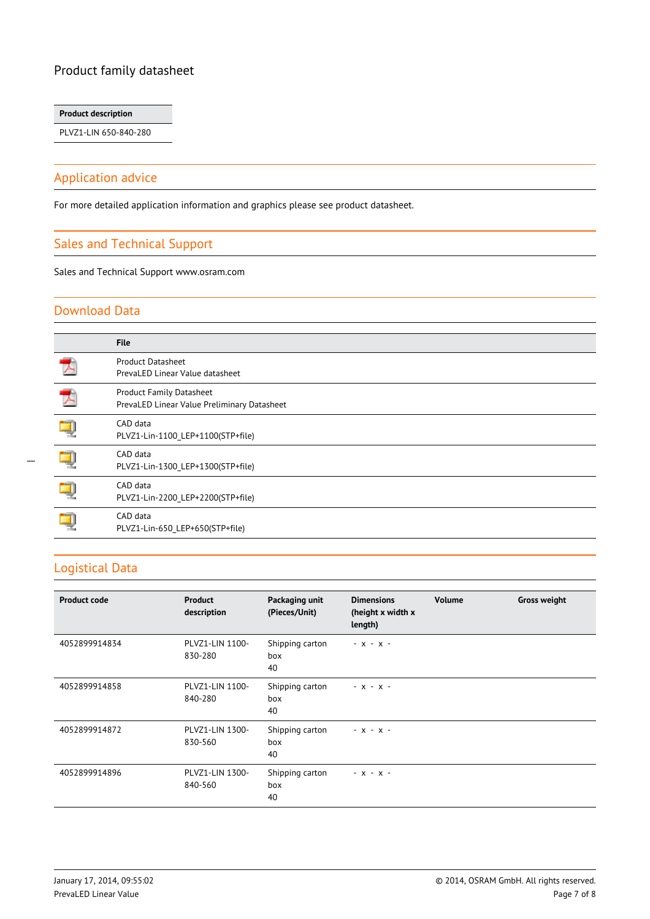#### **Product description**

PLVZ1-LIN 650-840-280

#### Application advice

For more detailed application information and graphics please see product datasheet.

#### Sales and Technical Support

Sales and Technical Support www.osram.com

#### Download Data

| <b>File</b>                                                                    |
|--------------------------------------------------------------------------------|
| <b>Product Datasheet</b><br>PrevaLED Linear Value datasheet                    |
| <b>Product Family Datasheet</b><br>PrevaLED Linear Value Preliminary Datasheet |
| CAD data<br>PLVZ1-Lin-1100_LEP+1100(STP+file)                                  |
| CAD data<br>PLVZ1-Lin-1300_LEP+1300(STP+file)                                  |
| CAD data<br>PLVZ1-Lin-2200_LEP+2200(STP+file)                                  |
| CAD data<br>PLVZ1-Lin-650 LEP+650(STP+file)                                    |

### Logistical Data

 $\overline{a}$ 

| <b>Product code</b> | <b>Product</b><br>description | Packaging unit<br>(Pieces/Unit) | <b>Dimensions</b><br>(height x width x<br>length) | <b>Volume</b> | <b>Gross weight</b> |
|---------------------|-------------------------------|---------------------------------|---------------------------------------------------|---------------|---------------------|
| 4052899914834       | PLVZ1-LIN 1100-<br>830-280    | Shipping carton<br>box<br>40    | $- X - X -$                                       |               |                     |
| 4052899914858       | PLVZ1-LIN 1100-<br>840-280    | Shipping carton<br>box<br>40    | $- X - X -$                                       |               |                     |
| 4052899914872       | PLVZ1-LIN 1300-<br>830-560    | Shipping carton<br>box<br>40    | $- x - x -$                                       |               |                     |
| 4052899914896       | PLVZ1-LIN 1300-<br>840-560    | Shipping carton<br>box<br>40    | $- X - X -$                                       |               |                     |